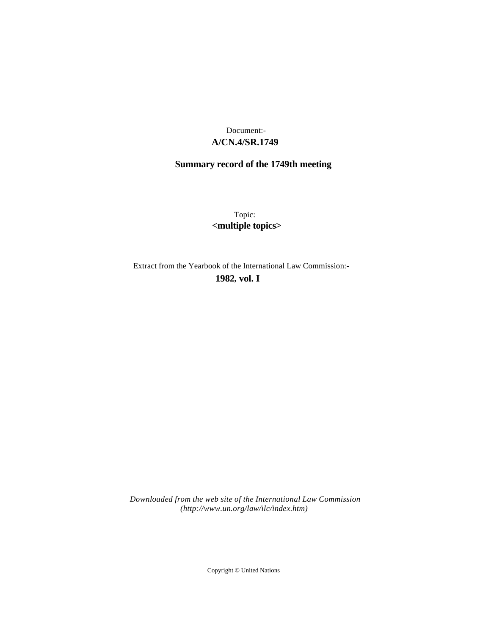## **A/CN.4/SR.1749** Document:-

# **Summary record of the 1749th meeting**

Topic: **<multiple topics>**

Extract from the Yearbook of the International Law Commission:-

**1982** , **vol. I**

*Downloaded from the web site of the International Law Commission (http://www.un.org/law/ilc/index.htm)*

Copyright © United Nations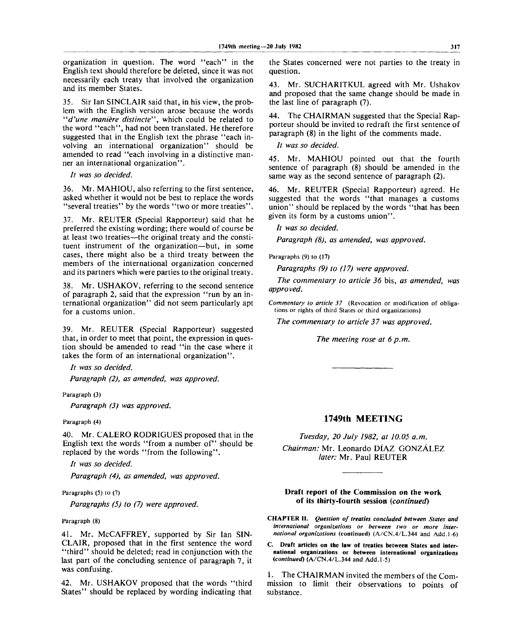organization in question. The word "each" in the English text should therefore be deleted, since it was not necessarily each treaty that involved the organization and its member States.

35. Sir Ian SINCLAIR said that, in his view, the problem with the English version arose because the words *"d'une maniere distincte",* which could be related to the word "each", had not been translated. He therefore suggested that in the English text the phrase "each involving an international organization" should be amended to read "each involving in a distinctive manner an international organization".

// *was so decided.*

36. Mr. MAHIOU, also referring to the first sentence, asked whether it would not be best to replace the words "several treaties" by the words "two or more treaties".

37. Mr. REUTER (Special Rapporteur) said that he preferred the existing wording; there would of course be at least two treaties—the original treaty and the constituent instrument of the organization—but, in some cases, there might also be a third treaty between the members of the international organization concerned and its partners which were parties to the original treaty.

38. Mr. USHAKOV, referring to the second sentence of paragraph 2, said that the expression "run by an international organization" did not seem particularly apt for a customs union.

39. Mr. REUTER (Special Rapporteur) suggested that, in order to meet that point, the expression in question should be amended to read "in the case where it takes the form of an international organization".

*It was so decided.*

*Paragraph (2), as amended, was approved.*

Paragraph (3)

*Paragraph (3) was approved.*

Paragraph (4)

40. Mr. CALERO RODRIGUES proposed that in the English text the words "from a number of" should be replaced by the words "from the following".

*It was so decided.*

*Paragraph (4), as amended, was approved.*

Paragraphs (5) to (7)

*Paragraphs (5) to (7) were approved.*

Paragraph (8)

41. Mr. McCAFFREY, supported by Sir Ian SIN-CLAIR, proposed that in the first sentence the word "third" should be deleted; read in conjunction with the last part of the concluding sentence of paragraph 7, it was confusing.

42. Mr. USHAKOV proposed that the words "third States" should be replaced by wording indicating that the States concerned were not parties to the treaty in question.

43. Mr. SUCHARITKUL agreed with Mr. Ushakov and proposed that the same change should be made in the last line of paragraph (7).

44. The CHAIRMAN suggested that the Special Rapporteur should be invited to redraft the first sentence of paragraph (8) in the light of the comments made.

*It was so decided.*

45. Mr. MAHIOU pointed out that the fourth sentence of paragraph (8) should be amended in the same way as the second sentence of paragraph (2).

46. Mr. REUTER (Special Rapporteur) agreed. He suggested that the words "that manages a customs union" should be replaced by the words "that has been given its form by a customs union".

*It was so decided.*

*Paragraph (8), as amended, was approved.*

Paragraphs (9) to (17)

*Paragraphs (9) to (17) were approved.*

*The commentary to article 36* bis, *as amended, was approved.*

*Commentary to article 37* (Revocation or modification of obligations or rights of third States or third organizations)

*The commentary to article 37 was approved.*

The meeting rose at 6 p.m.

### **1749th MEETING**

*Tuesday, 20 July 1982, at 10.05 a.m.*

*Chairman:* Mr. Leonardo DIAZ GONZALEZ *later:* Mr. Paul REUTER

### **Draft report of the Commission on the work of its thirty-fourth session** *{continued)*

**CHAPTER II.** *Question of treaties concluded between States and international organizations or between two or more international organizations* (continued) (A/CN.4/L.344 and Add. 1-6)

**C. Draft articles on the law of treaties between States and international organizations or between international organizations** *(continued)* (A/CN.4/L.344 and Add. 1-5)

1. The CHAIRMAN invited the members of the Commission to limit their observations to points of substance.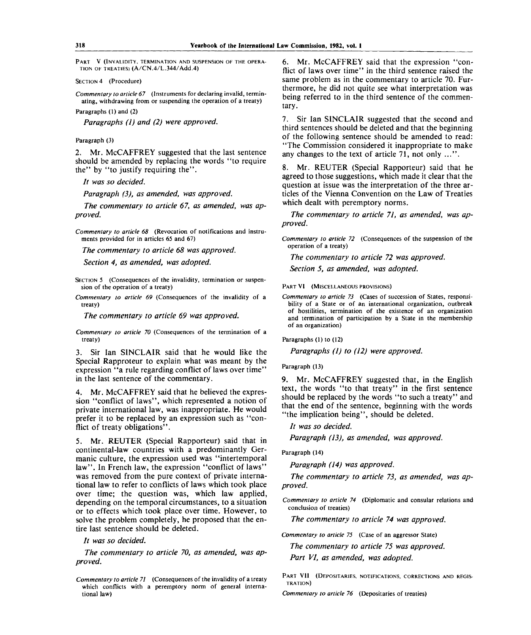PART V (INVALIDITY, TERMINATION AND SUSPENSION OF THE OPERA-TION OF TREATIES) (A/CN.4/L.344/Add.4)

SECTION 4 (Procedure)

*Commentary to article 67* (Instruments for declaring invalid, terminating, withdrawing from or suspending the operation of a treaty)

Paragraphs (1) and (2)

*Paragraphs (1) and (2) were approved.*

### Paragraph (3)

2. Mr. McCAFFREY suggested that the last sentence should be amended by replacing the words "to require the" by "to justify requiring the".

*It was so decided.*

*Paragraph (3), as amended, was approved.*

*The commentary to article 67, as amended, was approved.*

*Commentary to article 68* (Revocation of notifications and instruments provided for in articles 65 and 67)

*The commentary to article 68 was approved.*

*Section 4, as amended, was adopted.*

SECTION 5 (Consequences of the invalidity, termination or suspension of the operation of a treaty)

*Commentary to article 69* (Consequences of the invalidity of a treaty)

*The commentary to article 69 was approved.*

*Commentary to article 70* (Consequences of the termination of a treaty)

3. Sir Ian SINCLAIR said that he would like the Special Rapproteur to explain what was meant by the expression "a rule regarding conflict of laws over time" in the last sentence of the commentary.

4. Mr. McCAFFREY said that he believed the expression "conflict of laws", which represented a notion of private international law, was inappropriate. He would prefer it to be replaced by an expression such as "conflict of treaty obligations".

5. Mr. REUTER (Special Rapporteur) said that in continental-law countries with a predominantly Germanic culture, the expression used was "intertemporal law". In French law, the expression "conflict of laws" was removed from the pure context of private international law to refer to conflicts of laws which took place over time; the question was, which law applied, depending on the temporal circumstances, to a situation or to effects which took place over time. However, to solve the problem completely, he proposed that the entire last sentence should be deleted.

*It was so decided.*

*The commentary to article 70, as amended, was approved.*

6. Mr. McCAFFREY said that the expression "conflict of laws over time" in the third sentence raised the same problem as in the commentary to article 70. Furthermore, he did not quite see what interpretation was being referred to in the third sentence of the commentary.

7. Sir Ian SINCLAIR suggested that the second and third sentences should be deleted and that the beginning of the following sentence should be amended to read: "The Commission considered it inappropriate to make any changes to the text of article 71, not only ...".

8. Mr. REUTER (Special Rapporteur) said that he agreed to those suggestions, which made it clear that the question at issue was the interpretation of the three articles of the Vienna Convention on the Law of Treaties which dealt with peremptory norms.

*The commentary to article 71, as amended, was approved.*

*Commentary to article 72* (Consequences of the suspension of the operation of a treaty)

*The commentary to article 72 was approved.*

*Section 5, as amended, was adopted.*

PART VI (MISCELLANEOUS PROVISIONS)

*Commentary to article 73* (Cases of succession of States, responsibility of a State or of an international organization, outbreak of hostilities, termination of the existence of an organization and termination of participation by a State in the membership of an organization)

Paragraphs (1) to (12)

*Paragraphs (1) to (12) were approved.*

Paragraph (13)

9. Mr. McCAFFREY suggested that, in the English text, the words "to that treaty" in the first sentence should be replaced by the words "to such a treaty" and that the end of the sentence, beginning with the words "the implication being", should be deleted.

// *was so decided.*

*Paragraph (13), as amended, was approved.*

Paragraph (14)

*Paragraph (14) was approved.*

*The commentary to article 73, as amended, was approved.*

*Commentary to article 74* (Diplomatic and consular relations and conclusion of treaties)

*The commentary to article 74 was approved.*

*Commentary to article 75* (Case of an aggressor State)

*The commentary to article 75 was approved.*

*Part VI, as amended, was adopted.*

PART VII (DEPOSITARIES, NOTIFICATIONS, CORRECTIONS AND REGIS-TRATION)

*Commentary to article 76* (Depositaries of treaties)

*Commentary to article 71* (Consequences of the invalidity of a treaty which conflicts with a peremptory norm of general international law)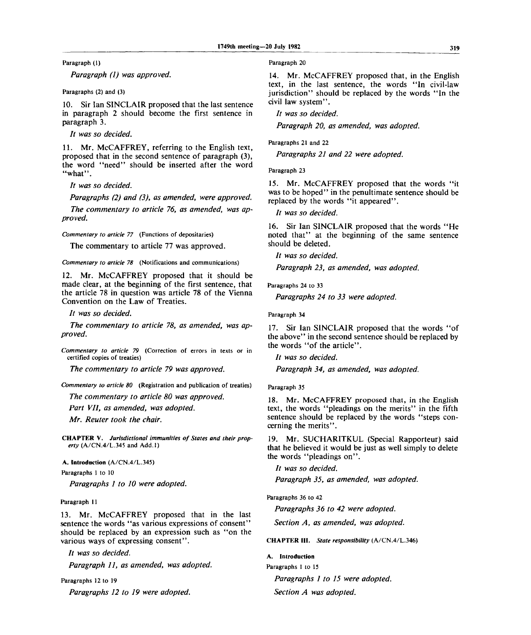Paragraph (1)

*Paragraph (1) was approved.*

Paragraphs (2) and (3)

10. Sir Ian SINCLAIR proposed that the last sentence in paragraph 2 should become the first sentence in paragraph 3.

*It was so decided.*

11. Mr. McCAFFREY, referring to the English text, proposed that in the second sentence of paragraph (3), the word "need" should be inserted after the word "what".

*It was so decided.*

*Paragraphs (2) and (3), as amended, were approved.*

*The commentary to article 76, as amended, was approved.*

*Commentary to article 77* (Functions of depositaries)

The commentary to article 77 was approved.

*Commentary to article 78* (Notifications and communications)

12. Mr. McCAFFREY proposed that it should be made clear, at the beginning of the first sentence, that the article 78 in question was article 78 of the Vienna Convention on the Law of Treaties.

*It was so decided.*

*The commentary to article 78, as amended, was approved.*

*Commentary to article 79* (Correction of errors in texts or in certified copies of treaties)

*The commentary to article 79 was approved.*

*Commentary to article 80* (Registration and publication of treaties)

*The commentary to article 80 was approved.*

*Part VII, as amended, was adopted.*

*Mr. Reuter took the chair.*

**CHAPTER** V. *Jurisdictional immunities of States and their property* (A/CN.4/L.345 and Add.l)

**A. Introduction** (A/CN.4/L.345)

Paragraphs 1 to 10

*Paragraphs 1 to 10 were adopted.*

Paragraph 11

13. Mr. McCAFFREY proposed that in the last sentence the words "as various expressions of consent" should be replaced by an expression such as "on the various ways of expressing consent".

*It was so decided.*

*Paragraph 11, as amended, was adopted.*

Paragraphs 12 to 19 *Paragraphs 12 to 19 were adopted.* Paragraph 20

14. Mr. McCAFFREY proposed that, in the English text, in the last sentence, the words "In civil-law jurisdiction" should be replaced by the words "In the civil law system".

// *was so decided.*

*Paragraph 20, as amended, was adopted.*

Paragraphs 21 and 22

*Paragraphs 21 and 22 were adopted.*

Paragraph 23

15. Mr. McCAFFREY proposed that the words "it was to be hoped" in the penultimate sentence should be replaced by the words "it appeared".

// *was so decided.*

16. Sir Ian SINCLAIR proposed that the words "He noted that" at the beginning of the same sentence should be deleted.

*It was so decided.*

*Paragraph 23, as amended, was adopted.*

Paragraphs 24 to 33

*Paragraphs 24 to 33 were adopted.*

Paragraph 34

17. Sir Ian SINCLAIR proposed that the words "of the above" in the second sentence should be replaced by the words "of the article".

*It was so decided.*

*Paragraph 34, as amended, was adopted.*

Paragraph 35

18. Mr. McCAFFREY proposed that, in the English text, the words "pleadings on the merits" in the fifth sentence should be replaced by the words "steps concerning the merits".

19. Mr. SUCHARITKUL (Special Rapporteur) said that he believed it would be just as well simply to delete the words "pleadings on".

// *was so decided.*

*Paragraph 35, as amended, was adopted.*

Paragraphs 36 to 42

*Paragraphs 36 to 42 were adopted.*

*Section A, as amended, was adopted.*

**CHAPTER III.** *State responsibility* (A/CN.4/L.346)

**A. Introduction**

Paragraphs 1 to 15 *Paragraphs 1 to 15 were adopted. Section A was adopted.*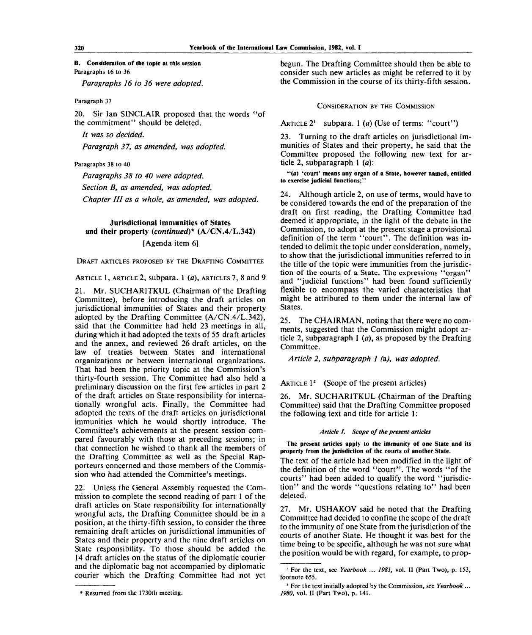### **B. Consideration of the topic at this session** Paragraphs 16 to 36

*Paragraphs 16 to 36 were adopted.*

### Paragraph 37

20. Sir Ian SINCLAIR proposed that the words "of the commitment" should be deleted.

// *was so decided.*

*Paragraph 3 7, as amended, was adopted.*

### Paragraphs 38 to 40

*Paragraphs 38 to 40 were adopted.*

*Section B, as amended, was adopted.*

*Chapter HI as a whole, as amended, was adopted.*

## **Jurisdictional immunities of States and their property** *{continued)\** **(A/CN.4/L.342)** [Agenda item 6]

DRAFT ARTICLES PROPOSED BY THE DRAFTING COMMITTEE

ARTICLE 1, ARTICLE 2, subpara. 1 *(a),* ARTICLES 7, 8 and 9

21. Mr. SUCHARITKUL (Chairman of the Drafting Committee), before introducing the draft articles on jurisdictional immunities of States and their property adopted by the Drafting Committee (A/CN.4/L.342), said that the Committee had held 23 meetings in all, during which it had adopted the texts of 55 draft articles and the annex, and reviewed 26 draft articles, on the law of treaties between States and international organizations or between international organizations. That had been the priority topic at the Commission's thirty-fourth session. The Committee had also held a preliminary discussion on the first few articles in part 2 of the draft articles on State responsibility for internationally wrongful acts. Finally, the Committee had adopted the texts of the draft articles on jurisdictional immunities which he would shortly introduce. The Committee's achievements at the present session compared favourably with those at preceding sessions; in that connection he wished to thank all the members of the Drafting Committee as well as the Special Rapporteurs concerned and those members of the Commission who had attended the Committee's meetings.

22. Unless the General Assembly requested the Commission to complete the second reading of part 1 of the draft articles on State responsibility for internationally wrongful acts, the Drafting Committee should be in a position, at the thirty-fifth session, to consider the three remaining draft articles on jurisdictional immunities of States and their property and the nine draft articles on State responsibility. To those should be added the 14 draft articles on the status of the diplomatic courier and the diplomatic bag not accompanied by diplomatic courier which the Drafting Committee had not yet

begun. The Drafting Committee should then be able to consider such new articles as might be referred to it by the Commission in the course of its thirty-fifth session.

#### CONSIDERATION BY THE COMMISSION

ARTICLE  $2^1$  subpara. 1 (a) (Use of terms: "court")

23. Turning to the draft articles on jurisdictional immunities of States and their property, he said that the Committee proposed the following new text for article 2, subparagraph 1 *(a):*

**"(a) 'court' means any organ of a State, however named, entitled to exercise judicial functions;"**

24. Although article 2, on use of terms, would have to be considered towards the end of the preparation of the draft on first reading, the Drafting Committee had deemed it appropriate, in the light of the debate in the Commission, to adopt at the present stage a provisional definition of the term "court". The definition was intended to delimit the topic under consideration, namely, to show that the jurisdictional immunities referred to in the title of the topic were immunities from the jurisdiction of the courts of a State. The expressions "organ" and "judicial functions" had been found sufficiently flexible to encompass the varied characteristics that might be attributed to them under the internal law of States.

25. The CHAIRMAN, noting that there were no comments, suggested that the Commission might adopt article 2, subparagraph 1 *(a),* as proposed by the Drafting Committee.

*Article 2, subparagraph 1 (a), was adopted.*

# ARTICLE  $1^2$  (Scope of the present articles)

26. Mr. SUCHARITKUL (Chairman of the Drafting Committee) said that the Drafting Committee proposed the following text and title for article 1:

### *Article 1. Scope of the present articles*

**The present articles apply to the immunity of one State and its property from the jurisdiction of the courts of another State.**

The text of the article had been modified in the light of the definition of the word "court". The words "of the courts" had been added to qualify the word "jurisdiction" and the words "questions relating to" had been deleted.

27. Mr. USHAKOV said he noted that the Drafting Committee had decided to confine the scope of the draft to the immunity of one State from the jurisdiction of the courts of another State. He thought it was best for the time being to be specific, although he was not sure what the position would be with regard, for example, to prop-

<sup>•</sup> Resumed from the 1730th meeting.

<sup>&</sup>lt;sup>1</sup> For the text, see Yearbook ... 1981, vol. II (Part Two), p. 153, footnote 655.

<sup>2</sup> For the text initially adopted by the Commission, see *Yearbook... 1980,* vol. II (Part Two), p. **141.**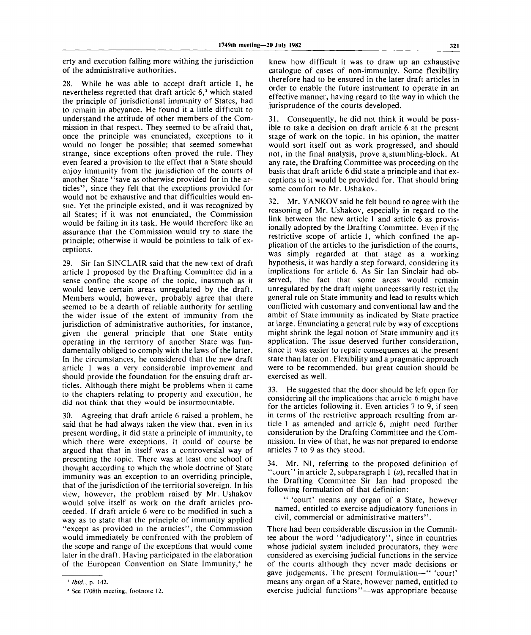erty and execution falling more withing the jurisdiction of the administrative authorities.

28. While he was able to accept draft article 1, he nevertheless regretted that draft article 6,<sup>3</sup> which stated the principle of jurisdictional immunity of States, had to remain in abeyance. He found it a little difficult to understand the attitude of other members of the Commission in that respect. They seemed to be afraid that, once the principle was enunciated, exceptions to it would no longer be possible; that seemed somewhat strange, since exceptions often proved the rule. They even feared a provision to the effect that a State should enjoy immunity from the jurisdiction of the courts of another State "save as otherwise provided for in the articles", since they felt that the exceptions provided for would not be exhaustive and that difficulties would ensue. Yet the principle existed, and it was recognized by all States; if it was not enunciated, the Commission would be failing in its task. He would therefore like an assurance that the Commission would try to state the principle; otherwise it would be pointless to talk of exceptions.

29. Sir Ian SINCLAIR said that the new text of draft article 1 proposed by the Drafting Committee did in a sense confine the scope of the topic, inasmuch as it would leave certain areas unregulated by the draft. Members would, however, probably agree that there seemed to be a dearth of reliable authority for settling the wider issue of the extent of immunity from the jurisdiction of administrative authorities, for instance, given the general principle that one State entity operating in the territory of another State was fundamentally obliged to comply with the laws of the latter. In the circumstances, he considered that the new draft article 1 was a very considerable improvement and should provide the foundation for the ensuing draft articles. Although there might be problems when it came to the chapters relating to property and execution, he did not think that they would be insurmountable.

30. Agreeing that draft article 6 raised a problem, he said that he had always taken the view that, even in its present wording, it did state a principle of immunity, to which there were exceptions. It could of course be argued that that in itself was a controversial way of presenting the topic. There was at least one school of thought according to which the whole doctrine of State immunity was an exception to an overriding principle, that of the jurisdiction of the territorial sovereign. In his view, however, the problem raised by Mr. Ushakov would solve itself as work on the draft articles proceeded. If draft article 6 were to be modified in such a way as to state that the principle of immunity applied "except as provided in the articles", the Commission would immediately be confronted with the problem of the scope and range of the exceptions that would come later in the draft. Having participated in the elaboration of the European Convention on State Immunity,<sup>4</sup> he

knew how difficult it was to draw up an exhaustive catalogue of cases of non-immunity. Some flexibility therefore had to be ensured in the later draft articles in order to enable the future instrument to operate in an effective manner, having regard to the way in which the jurisprudence of the courts developed.

31. Consequently, he did not think it would be possible to take a decision on draft article 6 at the present stage of work on the topic. In his opinion, the matter would sort itself out as work progressed, and should not, in the final analysis, prove a,stumbling-block. At any rate, the Drafting Committee was proceeding on the basis that draft article 6 did state a principle and that exceptions to it would be provided for. That should bring some comfort to Mr. Ushakov.

32. Mr. YANKOV said he felt bound to agree with the reasoning of Mr. Ushakov, especially in regard to the link between the new article 1 and article 6 as provisionally adopted by the Drafting Committee. Even if the restrictive scope of article 1, which confined the application of the articles to the jurisdiction of the courts, was simply regarded at that stage as a working hypothesis, it was hardly a step forward, considering its implications for article 6. As Sir Ian Sinclair had observed, the fact that some areas would remain unregulated by the draft might unnecessarily restrict the general rule on State immunity and lead to results which conflicted with customary and conventional law and the ambit of State immunity as indicated by State practice at large. Enunciating a general rule by way of exceptions might shrink the legal notion of State immunity and its application. The issue deserved further consideration, since it was easier to repair consequences at the present state than later on. Flexibility and a pragmatic approach were to be recommended, but great caution should be exercised as well.

33. He suggested that the door should be left open for considering all the implications that article 6 might have for the articles following it. Even articles 7 to 9, if seen in terms of the restrictive approach resulting from article 1 as amended and article 6, might need further consideration by the Drafting Committee and the Commission. In view of that, he was not prepared to endorse articles 7 to 9 as they stood.

34. Mr. NI, referring to the proposed definition of "court" in article 2, subparagraph 1 *(a),* recalled that in the Drafting Committee Sir Ian had proposed the following formulation of that definition:

" 'court' means any organ of a State, however named, entitled to exercise adjudicatory functions in civil, commercial or administrative matters".

There had been considerable discussion in the Committee about the word "adjudicatory", since in countries whose judicial system included procurators, they were considered as exercising judicial functions in the service of the courts although they never made decisions or gave judgements. The present formulation—" 'court' means any organ of a State, however named, entitled to exercise judicial functions"—was appropriate because

<sup>1</sup>  *Ibid.,* p. 142.

<sup>4</sup> See 1708th meeting, footnote 12.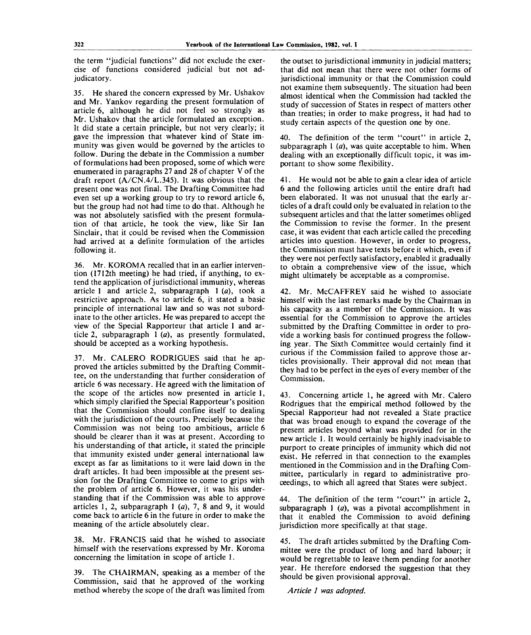the term "judicial functions" did not exclude the exercise of functions considered judicial but not adjudicatory.

35. He shared the concern expressed by Mr. Ushakov and Mr. Yankov regarding the present formulation of article 6, although he did not feel so strongly as Mr. Ushakov that the article formulated an exception. It did state a certain principle, but not very clearly; it gave the impression that whatever kind of State immunity was given would be governed by the articles to follow. During the debate in the Commission a number of formulations had been proposed, some of which were enumerated in paragraphs 27 and 28 of chapter V of the draft report (A/CN.4/L.345). It was obvious that the present one was not final. The Drafting Committee had even set up a working group to try to reword article 6, but the group had not had time to do that. Although he was not absolutely satisfied with the present formulation of that article, he took the view, like Sir Ian Sinclair, that it could be revised when the Commission had arrived at a definite formulation of the articles following it.

36. Mr. KOROMA recalled that in an earlier intervention (1712th meeting) he had tried, if anything, to extend the application of jurisdictional immunity, whereas article 1 and article 2, subparagraph 1 *(a),* took a restrictive approach. As to article 6, it stated a basic principle of international law and so was not subordinate to the other articles. He was prepared to accept the view of the Special Rapporteur that article 1 and article 2, subparagraph 1 *(a),* as presently formulated, should be accepted as a working hypothesis.

37. Mr. CALERO RODRIGUES said that he approved the articles submitted by the Drafting Committee, on the understanding that further consideration of article 6 was necessary. He agreed with the limitation of the scope of the articles now presented in article 1, which simply clarified the Special Rapporteur's position that the Commission should confine itself to dealing with the jurisdiction of the courts. Precisely because the Commission was not being too ambitious, article 6 should be clearer than it was at present. According to his understanding of that article, it stated the principle that immunity existed under general international law except as far as limitations to it were laid down in the draft articles. It had been impossible at the present session for the Drafting Committee to come to grips with the problem of article 6. However, it was his understanding that if the Commission was able to approve articles 1, 2, subparagraph 1 *(a),* 7, 8 and 9, it would come back to article 6 in the future in order to make the meaning of the article absolutely clear.

38. Mr. FRANCIS said that he wished to associate himself with the reservations expressed by Mr. Koroma concerning the limitation in scope of article 1.

39. The CHAIRMAN, speaking as a member of the Commission, said that he approved of the working method whereby the scope of the draft was limited from

the outset to jurisdictional immunity in judicial matters; that did not mean that there were not other forms of jurisdictional immunity or that the Commission could not examine them subsequently. The situation had been almost identical when the Commission had tackled the study of succession of States in respect of matters other than treaties; in order to make progress, it had had to study certain aspects of the question one by one.

40. The definition of the term "court" in article 2, subparagraph  $\frac{1}{a}$ , was quite acceptable to him. When dealing with an exceptionally difficult topic, it was important to show some flexibility.

41. He would not be able to gain a clear idea of article 6 and the following articles until the entire draft had been elaborated. It was not unusual that the early articles of a draft could only be evaluated in relation to the subsequent articles and that the latter sometimes obliged the Commission to revise the former. In the present case, it was evident that each article called the preceding articles into question. However, in order to progress, the Commission must have texts before it which, even if they were not perfectly satisfactory, enabled it gradually to obtain a comprehensive view of the issue, which might ultimately be acceptable as a compromise.

42. Mr. McCAFFREY said he wished to associate himself with the last remarks made by the Chairman in his capacity as a member of the Commission. It was essential for the Commission to approve the articles submitted by the Drafting Committee in order to provide a working basis for continued progress the following year. The Sixth Committee would certainly find it curious if the Commission failed to approve those articles provisionally. Their approval did not mean that they had to be perfect in the eyes of every member of the Commission.

43. Concerning article 1, he agreed with Mr. Calero Rodrigues that the empirical method followed by the Special Rapporteur had not revealed a State practice that was broad enough to expand the coverage of the present articles beyond what was provided for in the new article 1. It would certainly be highly inadvisable to purport to create principles of immunity which did not exist. He referred in that connection to the examples mentioned in the Commission and in the Drafting Committee, particularly in regard to administrative proceedings, to which all agreed that States were subject.

44. The definition of the term "court" in article 2, subparagraph 1 *(a),* was a pivotal accomplishment in that it enabled the Commission to avoid defining jurisdiction more specifically at that stage.

45. The draft articles submitted by the Drafting Committee were the product of long and hard labour; it would be regrettable to leave them pending for another year. He therefore endorsed the suggestion that they should be given provisional approval.

*Article 1 was adopted.*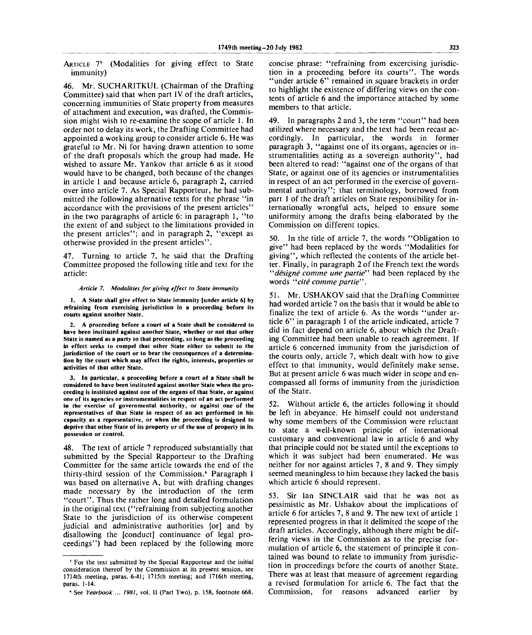ARTICLE 7<sup>5</sup> (Modalities for giving effect to State immunity)

46. Mr. SUCHARITKUL (Chairman of the Drafting Committee) said that when part IV of the draft articles, concerning immunities of State property from measures of attachment and execution, was drafted, the Commission might wish to re-examine the scope of article 1. In order not to delay its work, the Drafting Committee had appointed a working group to consider article 6. He was grateful to Mr. Ni for having drawn attention to some of the draft proposals which the group had made. He wished to assure Mr. Yankov that article 6 as it stood would have to be changed, both because of the changes in article 1 and because article 6, paragraph 2, carried over into article 7. As Special Rapporteur, he had submitted the following alternative texts for the phrase "in accordance with the provisions of the present articles" in the two paragraphs of article 6: in paragraph 1, "to the extent of and subject to the limitations provided in the present articles"; and in paragraph 2, "except as otherwise provided in the present articles".

47. Turning to article 7, he said that the Drafting Committee proposed the following title and text for the article:

#### *Article 7. Modalities for giving effect to State immunity*

**1. A State shall give effect to State immunity [under article 6] by refraining from exercising jurisdiction in a proceeding before its courts against another State.**

**2. A proceeding before a court of a State shall be considered to have been instituted against another State, whether or not that other State is named as a party to that proceeding, so long as the proceeding in effect seeks to compel that other State either to submit to the jurisdiction of the court or to bear the consequences of a determination by the court which may affect the rights, interests, properties or activities of that other State.**

**3. In particular, a proceeding before a court of a State shall be considered to have been instituted against another State when the proceeding is instituted against one of the organs of that State, or against one of its agencies or instrumentalities in respect of an act performed in the exercise of governmental authority, or against one of the representatives of that State in respect of an act performed in his capacity as a representative, or when the proceeding is designed to deprive that other State of its property or of the use of property in its possession or control.**

48. The text of article 7 reproduced substantially that submitted by the Special Rapporteur to the Drafting Committee for the same article towards the end of the thirty-third session of the Commission.<sup>6</sup> Paragraph I was based on alternative A, but with drafting changes made necessary by the introduction of the term "court". Thus the rather long and detailed formulation in the original text ("refraining from subjecting another State to the jurisdiction of its otherwise competent judicial and administrative authorities [or] and by disallowing the [conduct] continuance of legal proceedings") had been replaced by the following more concise phrase: "refraining from excercising jurisdiction in a proceeding before its courts". The words "under article 6" remained in square brackets in order to highlight the existence of differing views on the contents of article 6 and the importance attached by some members to that article.

49. In paragraphs 2 and 3, the term "court" had been utilized where necessary and the text had been recast accordingly. In particular, the words in former paragraph 3, "against one of its organs, agencies or instrumentalities acting as a sovereign authority", had been altered to read: "against one of the organs of that State, or against one of its agencies or instrumentalities in respect of an act performed in the exercise of governmental authority"; that terminology, borrowed from part 1 of the draft articles on State responsibility for internationally wrongful acts, helped to ensure some uniformity among the drafts being elaborated by the Commission on different topics.

50. In the title of article 7, the words "Obligation to give" had been replaced by the words "Modalities for giving", which reflected the contents of the article better. Finally, in paragraph 2 of the French text the words *"designe comme une partie"* had been replaced by the words *"cite comme partie".*

51. Mr. USHAKOV said that the Drafting Committee had worded article 7 on the basis that it would be able to finalize the text of article 6. As the words "under article 6" in paragraph 1 of the article indicated, article 7 did in fact depend on article 6, about which the Drafting Committee had been unable to reach agreement. If article 6 concerned immunity from the jurisdiction of the courts only, article 7, which dealt with how to give effect to that immunity, would definitely make sense. But at present article 6 was much wider in scope and encompassed all forms of immunity from the jurisdiction of the State.

52. Without article 6, the articles following it should be left in abeyance. He himself could not understand why some members of the Commission were reluctant to state a well-known principle of international customary and conventional law in article 6 and why that principle could not be stated until the exceptions to which it was subject had been enumerated. He was neither for nor against articles 7, 8 and 9. They simply seemed meaningless to him because they lacked the basis which article 6 should represent.

53. Sir Ian SINCLAIR said that he was not as pessimistic as Mr. Ushakov about the implications of article 6 for articles 7, 8 and 9. The new text of article 1 represented progress in that it delimited the scope of the draft articles. Accordingly, although there might be differing views in the Commission as to the precise formulation of article 6, the statement of principle it contained was bound to relate to immunity from jurisdiction in proceedings before the courts of another State. There was at least that measure of agreement regarding a revised formulation for article 6. The fact that the Commission, for reasons advanced earlier by

**<sup>5</sup> For the text submitted by the Special Rapporteur and the initial consideration thereof by the Commission at its present session, see 1714th meeting, paras. 6-41; 1715th meeting; and 1716th meeting, paras. 1-14.**

**<sup>6</sup> See** *Yearbook ... 1981,* **vol. II (Part Two), p. 158, footnote 668.**